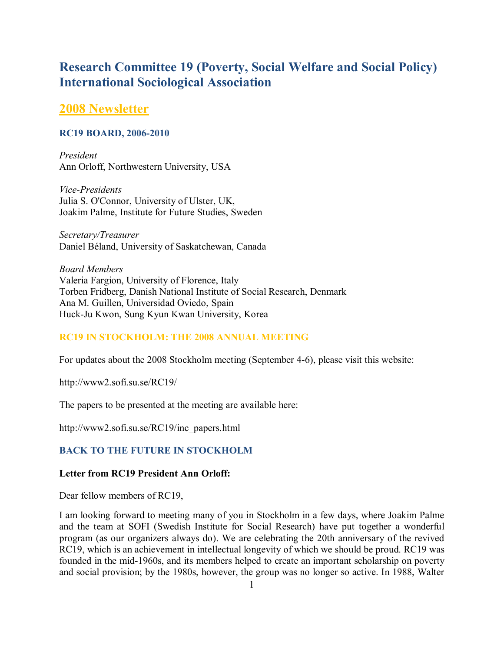# **Research Committee 19 (Poverty, Social Welfare and Social Policy) International Sociological Association**

# **2008 Newsletter**

### **RC19 BOARD, 2006-2010**

*President*  Ann Orloff, Northwestern University, USA

*Vice-Presidents*  Julia S. O'Connor, University of Ulster, UK, Joakim Palme, Institute for Future Studies, Sweden

*Secretary/Treasurer*  Daniel BÈland, University of Saskatchewan, Canada

*Board Members*  Valeria Fargion, University of Florence, Italy Torben Fridberg, Danish National Institute of Social Research, Denmark Ana M. Guillen, Universidad Oviedo, Spain Huck-Ju Kwon, Sung Kyun Kwan University, Korea

# **RC19 IN STOCKHOLM: THE 2008 ANNUAL MEETING**

For updates about the 2008 Stockholm meeting (September 4-6), please visit this website:

http://www2.sofi.su.se/RC19/

The papers to be presented at the meeting are available here:

http://www2.sofi.su.se/RC19/inc\_papers.html

# **BACK TO THE FUTURE IN STOCKHOLM**

#### **Letter from RC19 President Ann Orloff:**

Dear fellow members of RC19,

I am looking forward to meeting many of you in Stockholm in a few days, where Joakim Palme and the team at SOFI (Swedish Institute for Social Research) have put together a wonderful program (as our organizers always do). We are celebrating the 20th anniversary of the revived RC19, which is an achievement in intellectual longevity of which we should be proud. RC19 was founded in the mid-1960s, and its members helped to create an important scholarship on poverty and social provision; by the 1980s, however, the group was no longer so active. In 1988, Walter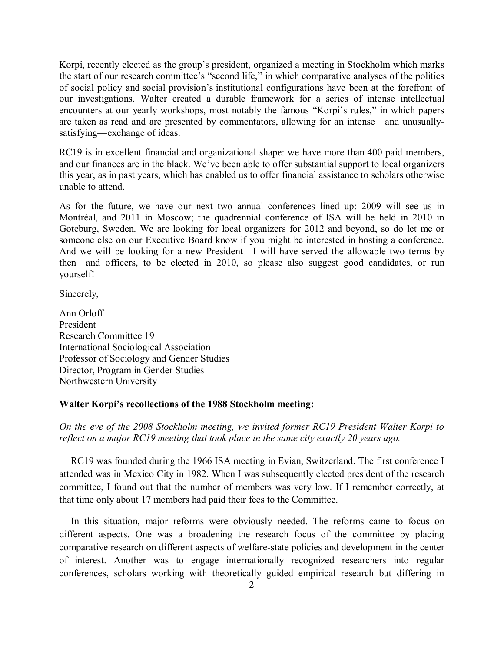Korpi, recently elected as the group's president, organized a meeting in Stockholm which marks the start of our research committee's "second life," in which comparative analyses of the politics of social policy and social provision's institutional configurations have been at the forefront of our investigations. Walter created a durable framework for a series of intense intellectual encounters at our yearly workshops, most notably the famous "Korpi's rules," in which papers are taken as read and are presented by commentators, allowing for an intense—and unusuallysatisfying—exchange of ideas.

RC19 is in excellent financial and organizational shape: we have more than 400 paid members, and our finances are in the black. We've been able to offer substantial support to local organizers this year, as in past years, which has enabled us to offer financial assistance to scholars otherwise unable to attend.

As for the future, we have our next two annual conferences lined up: 2009 will see us in Montréal, and 2011 in Moscow; the quadrennial conference of ISA will be held in 2010 in Goteburg, Sweden. We are looking for local organizers for 2012 and beyond, so do let me or someone else on our Executive Board know if you might be interested in hosting a conference. And we will be looking for a new President—I will have served the allowable two terms by then—and officers, to be elected in 2010, so please also suggest good candidates, or run yourself!

Sincerely,

Ann Orloff President Research Committee 19 International Sociological Association Professor of Sociology and Gender Studies Director, Program in Gender Studies Northwestern University

#### Walter Korpi's recollections of the 1988 Stockholm meeting:

*On the eve of the 2008 Stockholm meeting, we invited former RC19 President Walter Korpi to reflect on a major RC19 meeting that took place in the same city exactly 20 years ago.* 

RC19 was founded during the 1966 ISA meeting in Evian, Switzerland. The first conference I attended was in Mexico City in 1982. When I was subsequently elected president of the research committee, I found out that the number of members was very low. If I remember correctly, at that time only about 17 members had paid their fees to the Committee.

In this situation, major reforms were obviously needed. The reforms came to focus on different aspects. One was a broadening the research focus of the committee by placing comparative research on different aspects of welfare-state policies and development in the center of interest. Another was to engage internationally recognized researchers into regular conferences, scholars working with theoretically guided empirical research but differing in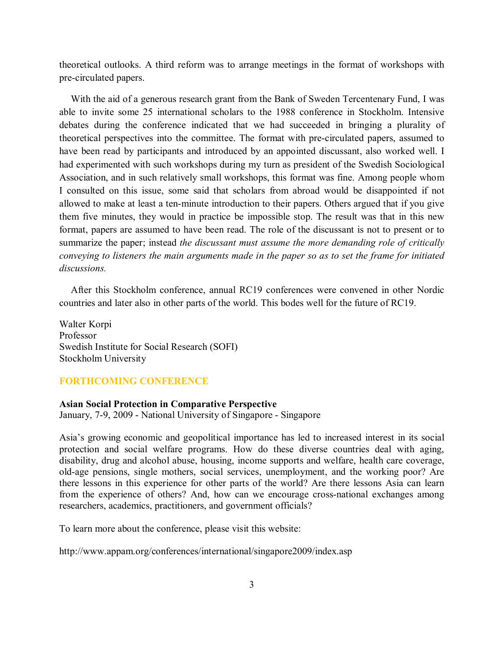theoretical outlooks. A third reform was to arrange meetings in the format of workshops with pre-circulated papers.

With the aid of a generous research grant from the Bank of Sweden Tercentenary Fund, I was able to invite some 25 international scholars to the 1988 conference in Stockholm. Intensive debates during the conference indicated that we had succeeded in bringing a plurality of theoretical perspectives into the committee. The format with pre-circulated papers, assumed to have been read by participants and introduced by an appointed discussant, also worked well. I had experimented with such workshops during my turn as president of the Swedish Sociological Association, and in such relatively small workshops, this format was fine. Among people whom I consulted on this issue, some said that scholars from abroad would be disappointed if not allowed to make at least a ten-minute introduction to their papers. Others argued that if you give them five minutes, they would in practice be impossible stop. The result was that in this new format, papers are assumed to have been read. The role of the discussant is not to present or to summarize the paper; instead *the discussant must assume the more demanding role of critically conveying to listeners the main arguments made in the paper so as to set the frame for initiated discussions.*

After this Stockholm conference, annual RC19 conferences were convened in other Nordic countries and later also in other parts of the world. This bodes well for the future of RC19.

Walter Korpi Professor Swedish Institute for Social Research (SOFI) Stockholm University

# **FORTHCOMING CONFERENCE**

#### **Asian Social Protection in Comparative Perspective**

January, 7-9, 2009 - National University of Singapore - Singapore

Asiaís growing economic and geopolitical importance has led to increased interest in its social protection and social welfare programs. How do these diverse countries deal with aging, disability, drug and alcohol abuse, housing, income supports and welfare, health care coverage, old-age pensions, single mothers, social services, unemployment, and the working poor? Are there lessons in this experience for other parts of the world? Are there lessons Asia can learn from the experience of others? And, how can we encourage cross-national exchanges among researchers, academics, practitioners, and government officials?

To learn more about the conference, please visit this website:

http://www.appam.org/conferences/international/singapore2009/index.asp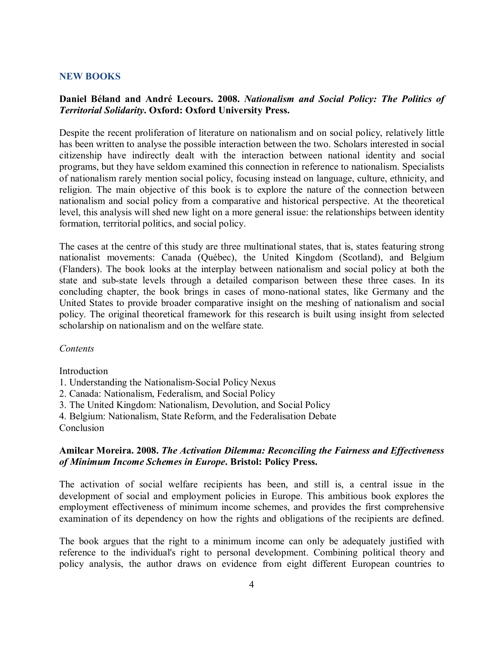#### **NEW BOOKS**

### **Daniel BÈland and AndrÈ Lecours. 2008.** *Nationalism and Social Policy: The Politics of Territorial Solidarity***. Oxford: Oxford University Press.**

Despite the recent proliferation of literature on nationalism and on social policy, relatively little has been written to analyse the possible interaction between the two. Scholars interested in social citizenship have indirectly dealt with the interaction between national identity and social programs, but they have seldom examined this connection in reference to nationalism. Specialists of nationalism rarely mention social policy, focusing instead on language, culture, ethnicity, and religion. The main objective of this book is to explore the nature of the connection between nationalism and social policy from a comparative and historical perspective. At the theoretical level, this analysis will shed new light on a more general issue: the relationships between identity formation, territorial politics, and social policy.

The cases at the centre of this study are three multinational states, that is, states featuring strong nationalist movements: Canada (Québec), the United Kingdom (Scotland), and Belgium (Flanders). The book looks at the interplay between nationalism and social policy at both the state and sub-state levels through a detailed comparison between these three cases. In its concluding chapter, the book brings in cases of mono-national states, like Germany and the United States to provide broader comparative insight on the meshing of nationalism and social policy. The original theoretical framework for this research is built using insight from selected scholarship on nationalism and on the welfare state.

#### *Contents*

Introduction

- 1. Understanding the Nationalism-Social Policy Nexus
- 2. Canada: Nationalism, Federalism, and Social Policy
- 3. The United Kingdom: Nationalism, Devolution, and Social Policy
- 4. Belgium: Nationalism, State Reform, and the Federalisation Debate

**Conclusion** 

### **Amilcar Moreira. 2008.** *The Activation Dilemma: Reconciling the Fairness and Effectiveness of Minimum Income Schemes in Europe***. Bristol: Policy Press.**

The activation of social welfare recipients has been, and still is, a central issue in the development of social and employment policies in Europe. This ambitious book explores the employment effectiveness of minimum income schemes, and provides the first comprehensive examination of its dependency on how the rights and obligations of the recipients are defined.

The book argues that the right to a minimum income can only be adequately justified with reference to the individual's right to personal development. Combining political theory and policy analysis, the author draws on evidence from eight different European countries to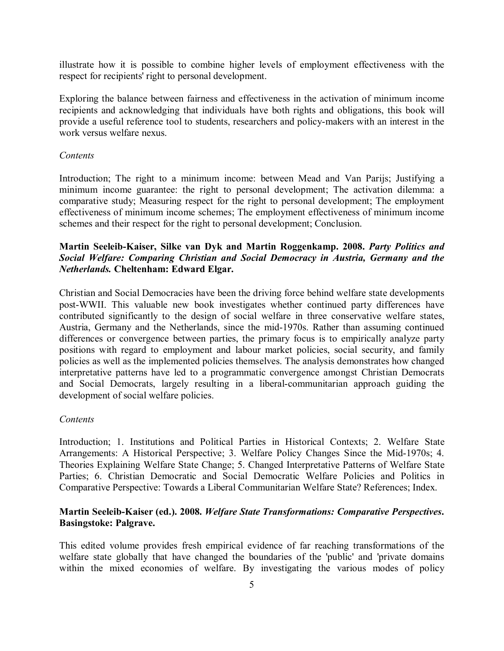illustrate how it is possible to combine higher levels of employment effectiveness with the respect for recipients' right to personal development.

Exploring the balance between fairness and effectiveness in the activation of minimum income recipients and acknowledging that individuals have both rights and obligations, this book will provide a useful reference tool to students, researchers and policy-makers with an interest in the work versus welfare nexus.

#### *Contents*

Introduction; The right to a minimum income: between Mead and Van Parijs; Justifying a minimum income guarantee: the right to personal development; The activation dilemma: a comparative study; Measuring respect for the right to personal development; The employment effectiveness of minimum income schemes; The employment effectiveness of minimum income schemes and their respect for the right to personal development; Conclusion.

# **Martin Seeleib-Kaiser, Silke van Dyk and Martin Roggenkamp. 2008.** *Party Politics and Social Welfare: Comparing Christian and Social Democracy in Austria, Germany and the Netherlands.* **Cheltenham: Edward Elgar.**

Christian and Social Democracies have been the driving force behind welfare state developments post-WWII. This valuable new book investigates whether continued party differences have contributed significantly to the design of social welfare in three conservative welfare states, Austria, Germany and the Netherlands, since the mid-1970s. Rather than assuming continued differences or convergence between parties, the primary focus is to empirically analyze party positions with regard to employment and labour market policies, social security, and family policies as well as the implemented policies themselves. The analysis demonstrates how changed interpretative patterns have led to a programmatic convergence amongst Christian Democrats and Social Democrats, largely resulting in a liberal-communitarian approach guiding the development of social welfare policies.

#### *Contents*

Introduction; 1. Institutions and Political Parties in Historical Contexts; 2. Welfare State Arrangements: A Historical Perspective; 3. Welfare Policy Changes Since the Mid-1970s; 4. Theories Explaining Welfare State Change; 5. Changed Interpretative Patterns of Welfare State Parties; 6. Christian Democratic and Social Democratic Welfare Policies and Politics in Comparative Perspective: Towards a Liberal Communitarian Welfare State? References; Index.

# **Martin Seeleib-Kaiser (ed.). 2008.** *Welfare State Transformations: Comparative Perspectives***. Basingstoke: Palgrave.**

This edited volume provides fresh empirical evidence of far reaching transformations of the welfare state globally that have changed the boundaries of the 'public' and 'private domains within the mixed economies of welfare. By investigating the various modes of policy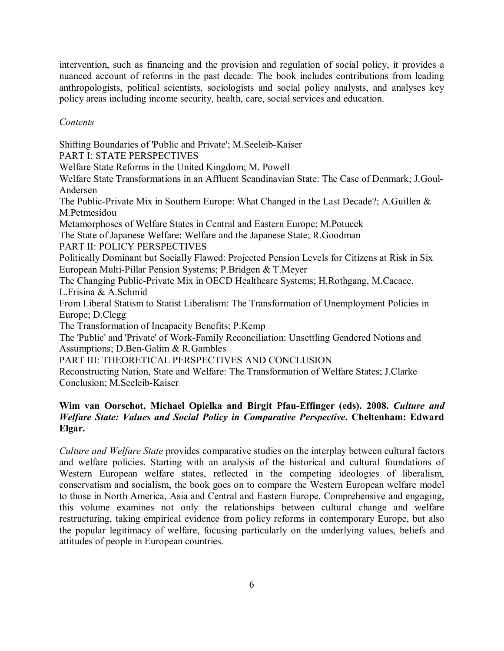intervention, such as financing and the provision and regulation of social policy, it provides a nuanced account of reforms in the past decade. The book includes contributions from leading anthropologists, political scientists, sociologists and social policy analysts, and analyses key policy areas including income security, health, care, social services and education.

# *Contents*

Shifting Boundaries of 'Public and Private'; M.Seeleib-Kaiser PART I: STATE PERSPECTIVES Welfare State Reforms in the United Kingdom; M. Powell Welfare State Transformations in an Affluent Scandinavian State: The Case of Denmark; J.Goul-Andersen The Public-Private Mix in Southern Europe: What Changed in the Last Decade?; A.Guillen & M.Petmesidou Metamorphoses of Welfare States in Central and Eastern Europe; M.Potucek The State of Japanese Welfare: Welfare and the Japanese State; R.Goodman PART II: POLICY PERSPECTIVES Politically Dominant but Socially Flawed: Projected Pension Levels for Citizens at Risk in Six European Multi-Pillar Pension Systems; P.Bridgen & T.Meyer The Changing Public-Private Mix in OECD Healthcare Systems; H.Rothgang, M.Cacace, L.Frisina & A.Schmid From Liberal Statism to Statist Liberalism: The Transformation of Unemployment Policies in Europe; D.Clegg The Transformation of Incapacity Benefits; P.Kemp The 'Public' and 'Private' of Work-Family Reconciliation: Unsettling Gendered Notions and Assumptions; D.Ben-Galim & R.Gambles PART III: THEORETICAL PERSPECTIVES AND CONCLUSION Reconstructing Nation, State and Welfare: The Transformation of Welfare States; J.Clarke Conclusion; M.Seeleib-Kaiser

# **Wim van Oorschot, Michael Opielka and Birgit Pfau-Effinger (eds). 2008.** *Culture and Welfare State: Values and Social Policy in Comparative Perspective***. Cheltenham: Edward Elgar.**

*Culture and Welfare State* provides comparative studies on the interplay between cultural factors and welfare policies. Starting with an analysis of the historical and cultural foundations of Western European welfare states, reflected in the competing ideologies of liberalism, conservatism and socialism, the book goes on to compare the Western European welfare model to those in North America, Asia and Central and Eastern Europe. Comprehensive and engaging, this volume examines not only the relationships between cultural change and welfare restructuring, taking empirical evidence from policy reforms in contemporary Europe, but also the popular legitimacy of welfare, focusing particularly on the underlying values, beliefs and attitudes of people in European countries.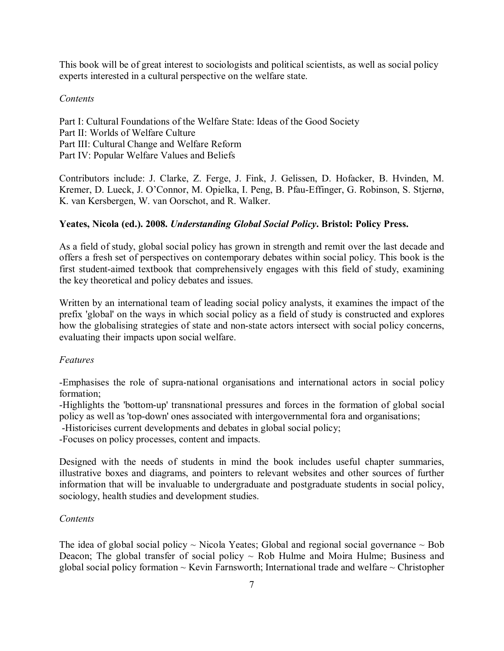This book will be of great interest to sociologists and political scientists, as well as social policy experts interested in a cultural perspective on the welfare state.

### *Contents*

Part I: Cultural Foundations of the Welfare State: Ideas of the Good Society Part II: Worlds of Welfare Culture Part III: Cultural Change and Welfare Reform Part IV: Popular Welfare Values and Beliefs

Contributors include: J. Clarke, Z. Ferge, J. Fink, J. Gelissen, D. Hofacker, B. Hvinden, M. Kremer, D. Lueck, J. O'Connor, M. Opielka, I. Peng, B. Pfau-Effinger, G. Robinson, S. Stjernø, K. van Kersbergen, W. van Oorschot, and R. Walker.

# **Yeates, Nicola (ed.). 2008.** *Understanding Global Social Policy***. Bristol: Policy Press.**

As a field of study, global social policy has grown in strength and remit over the last decade and offers a fresh set of perspectives on contemporary debates within social policy. This book is the first student-aimed textbook that comprehensively engages with this field of study, examining the key theoretical and policy debates and issues.

Written by an international team of leading social policy analysts, it examines the impact of the prefix 'global' on the ways in which social policy as a field of study is constructed and explores how the globalising strategies of state and non-state actors intersect with social policy concerns, evaluating their impacts upon social welfare.

# *Features*

-Emphasises the role of supra-national organisations and international actors in social policy formation;

-Highlights the 'bottom-up' transnational pressures and forces in the formation of global social policy as well as 'top-down' ones associated with intergovernmental fora and organisations;

-Historicises current developments and debates in global social policy;

-Focuses on policy processes, content and impacts.

Designed with the needs of students in mind the book includes useful chapter summaries, illustrative boxes and diagrams, and pointers to relevant websites and other sources of further information that will be invaluable to undergraduate and postgraduate students in social policy, sociology, health studies and development studies.

# *Contents*

The idea of global social policy  $\sim$  Nicola Yeates; Global and regional social governance  $\sim$  Bob Deacon; The global transfer of social policy  $\sim$  Rob Hulme and Moira Hulme; Business and global social policy formation  $\sim$  Kevin Farnsworth; International trade and welfare  $\sim$  Christopher